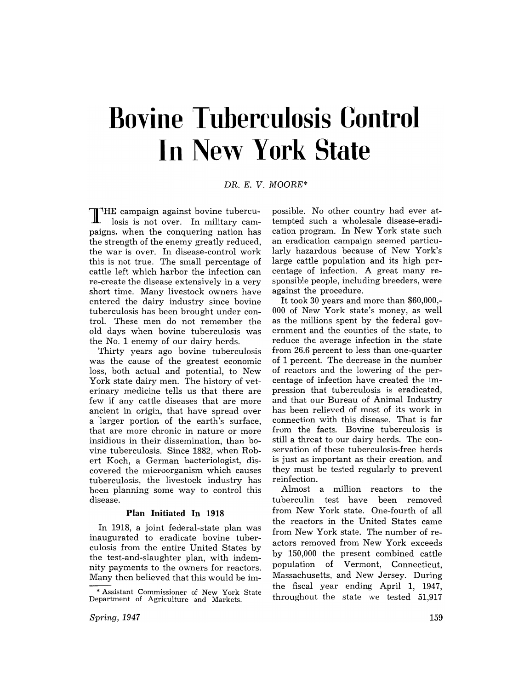## **Bovine Tuberculosis Control III New York State**

DR. E. *V. MOORE\** 

THE campaign against bovine tuberculosis is not over. In military campaigns, when the conquering nation has the strength of the enemy greatly reduced, the war is over. In disease-control work this is not true. The small percentage of cattle left which harbor the infection can re-create the disease extensively in a very short time. Many livestock owners have entered the dairy industry since bovine tuberculosis has been brought under control. These men do not remember the old days when bovine tuberculosis was the No. 1 enemy of our dairy herds.

Thirty years ago bovine tuberculosis was the cause of the greatest economic loss, both actual and potential, to New York state dairy men. The history of veterinary medicine tells us that there are few if any cattle diseases that are more ancient in origin, that have spread over a larger portion of the earth's surface, that are more chronic in nature or more insidious in their dissemination, than bovine tuberculosis. Since 1882, when Robert Koch, a German bacteriologist, discovered the microorganism which causes tuberculosis, the livestock industry has been planning some way to control this disease.

## **Plan Initiated In 1918**

In 1918, a joint federal-state plan was inaugurated to eradicate bovine tuberculosis from the entire United States by the test-and-slaughter plan, with indemnity payments to the owners for reactors. Many then believed that this would be im-

possible. No other country had ever attempted such a wholesale disease-eradication program. In New York state such an eradication campaign seemed particularly hazardous because of New York's large cattle population and its high percentage of infection. A great many responsible people, including breeders, were against the procedure.

It took 30 years and more than \$60,000,- 000 of New York state's money, as well as the millions spent by the federal government and the counties of the state, to reduce the average infection in the state from 26.6 percent to less than one-quarter of 1 percent. The decrease in the number of reactors and the lowering of the percentage of infection have created the impression that tuberculosis is eradicated, and that our Bureau of Animal Industry has been relieved of most of its work in connection with this disease. That is far from the facts. Bovine tuberculosis is still a threat to our dairy herds. The conservation of these tuberculosis-free herds is just as important as their creation, and they must be tested regularly to prevent reinfection.

Almost a million reactors to the tuberculin test have been removed from New York state. One-fourth of all the reactors in the United States came from New York state. The number of reactors removed from New York exceeds by 150,000 the present combined cattle population of Vermont, Connecticut, Massachusetts, and New Jersey. During the fiscal year ending April 1, 1947, throughout the state we tested 51,917

<sup>\*</sup> Assistant Commissioner of New York State Department of Agriculture and Markets.